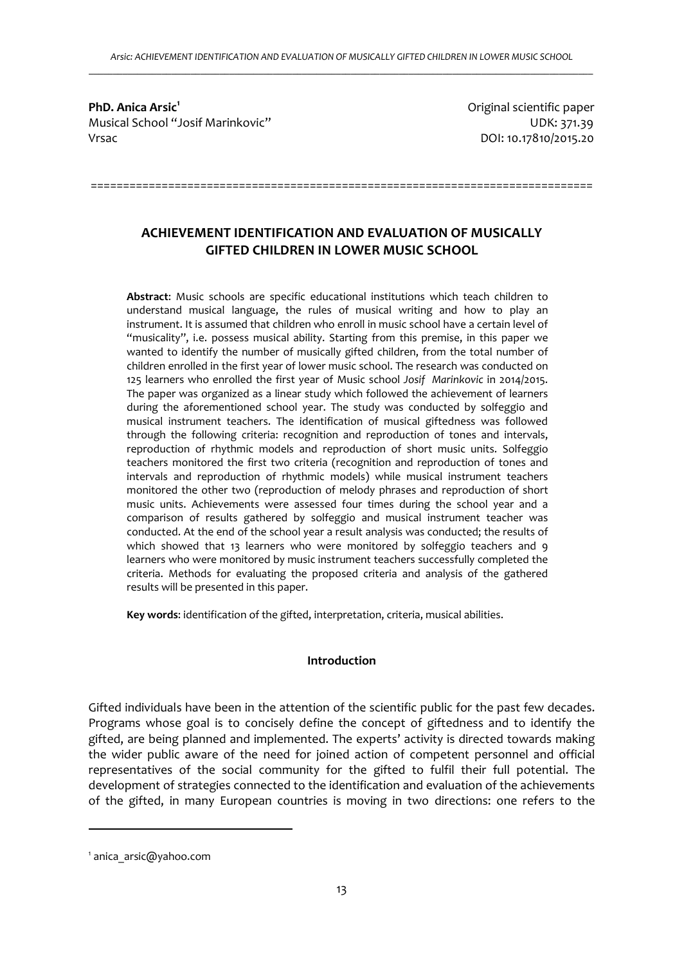**PhD. Anica Arsic<sup>1</sup>** Musical School "Josif Marinkovic" UDK: 371.39 Vrsac DOI: 10.17810/2015.20

Original scientific paper

# **ACHIEVEMENT IDENTIFICATION AND EVALUATION OF MUSICALLY GIFTED CHILDREN IN LOWER MUSIC SCHOOL**

==============================================================================

**Abstract**: Music schools are specific educational institutions which teach children to understand musical language, the rules of musical writing and how to play an instrument. It is assumed that children who enroll in music school have a certain level of "musicality", i.e. possess musical ability. Starting from this premise, in this paper we wanted to identify the number of musically gifted children, from the total number of children enrolled in the first year of lower music school. The research was conducted on 125 learners who enrolled the first year of Music school *Josif Marinkovic* in 2014/2015. The paper was organized as a linear study which followed the achievement of learners during the aforementioned school year. The study was conducted by solfeggio and musical instrument teachers. The identification of musical giftedness was followed through the following criteria: recognition and reproduction of tones and intervals, reproduction of rhythmic models and reproduction of short music units. Solfeggio teachers monitored the first two criteria (recognition and reproduction of tones and intervals and reproduction of rhythmic models) while musical instrument teachers monitored the other two (reproduction of melody phrases and reproduction of short music units. Achievements were assessed four times during the school year and a comparison of results gathered by solfeggio and musical instrument teacher was conducted. At the end of the school year a result analysis was conducted; the results of which showed that 13 learners who were monitored by solfeggio teachers and 9 learners who were monitored by music instrument teachers successfully completed the criteria. Methods for evaluating the proposed criteria and analysis of the gathered results will be presented in this paper.

**Key words**: identification of the gifted, interpretation, criteria, musical abilities.

# **Introduction**

Gifted individuals have been in the attention of the scientific public for the past few decades. Programs whose goal is to concisely define the concept of giftedness and to identify the gifted, are being planned and implemented. The experts' activity is directed towards making the wider public aware of the need for joined action of competent personnel and official representatives of the social community for the gifted to fulfil their full potential. The development of strategies connected to the identification and evaluation of the achievements of the gifted, in many European countries is moving in two directions: one refers to the

 $\overline{a}$ 

<sup>1</sup> anica\_arsic@yahoo.com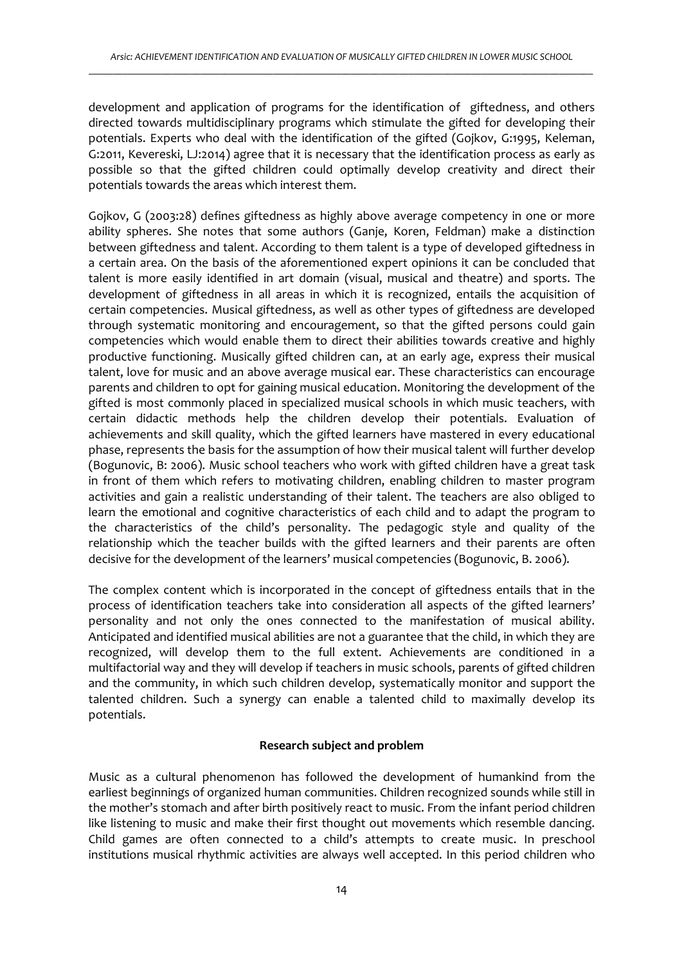development and application of programs for the identification of giftedness, and others directed towards multidisciplinary programs which stimulate the gifted for developing their potentials. Experts who deal with the identification of the gifted (Gojkov, G:1995, Keleman, G:2011, Kevereski, LJ:2014) agree that it is necessary that the identification process as early as possible so that the gifted children could optimally develop creativity and direct their potentials towards the areas which interest them.

Gojkov, G (2003:28) defines giftedness as highly above average competency in one or more ability spheres. She notes that some authors (Ganje, Koren, Feldman) make a distinction between giftedness and talent. According to them talent is a type of developed giftedness in a certain area. On the basis of the aforementioned expert opinions it can be concluded that talent is more easily identified in art domain (visual, musical and theatre) and sports. The development of giftedness in all areas in which it is recognized, entails the acquisition of certain competencies. Musical giftedness, as well as other types of giftedness are developed through systematic monitoring and encouragement, so that the gifted persons could gain competencies which would enable them to direct their abilities towards creative and highly productive functioning. Musically gifted children can, at an early age, express their musical talent, love for music and an above average musical ear. These characteristics can encourage parents and children to opt for gaining musical education. Monitoring the development of the gifted is most commonly placed in specialized musical schools in which music teachers, with certain didactic methods help the children develop their potentials. Evaluation of achievements and skill quality, which the gifted learners have mastered in every educational phase, represents the basis for the assumption of how their musical talent will further develop (Bogunovic, B: 2006). Music school teachers who work with gifted children have a great task in front of them which refers to motivating children, enabling children to master program activities and gain a realistic understanding of their talent. The teachers are also obliged to learn the emotional and cognitive characteristics of each child and to adapt the program to the characteristics of the child's personality. The pedagogic style and quality of the relationship which the teacher builds with the gifted learners and their parents are often decisive for the development of the learners' musical competencies (Bogunovic, B. 2006).

The complex content which is incorporated in the concept of giftedness entails that in the process of identification teachers take into consideration all aspects of the gifted learners' personality and not only the ones connected to the manifestation of musical ability. Anticipated and identified musical abilities are not a guarantee that the child, in which they are recognized, will develop them to the full extent. Achievements are conditioned in a multifactorial way and they will develop if teachers in music schools, parents of gifted children and the community, in which such children develop, systematically monitor and support the talented children. Such a synergy can enable a talented child to maximally develop its potentials.

#### **Research subject and problem**

Music as a cultural phenomenon has followed the development of humankind from the earliest beginnings of organized human communities. Children recognized sounds while still in the mother's stomach and after birth positively react to music. From the infant period children like listening to music and make their first thought out movements which resemble dancing. Child games are often connected to a child's attempts to create music. In preschool institutions musical rhythmic activities are always well accepted. In this period children who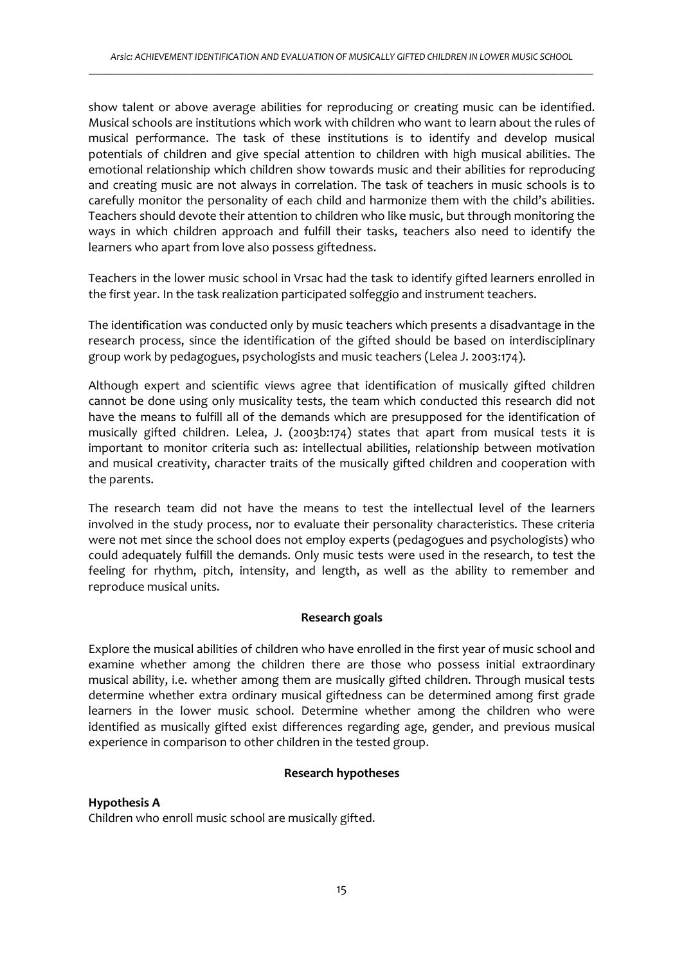show talent or above average abilities for reproducing or creating music can be identified. Musical schools are institutions which work with children who want to learn about the rules of musical performance. The task of these institutions is to identify and develop musical potentials of children and give special attention to children with high musical abilities. The emotional relationship which children show towards music and their abilities for reproducing and creating music are not always in correlation. The task of teachers in music schools is to carefully monitor the personality of each child and harmonize them with the child's abilities. Teachers should devote their attention to children who like music, but through monitoring the ways in which children approach and fulfill their tasks, teachers also need to identify the learners who apart from love also possess giftedness.

Teachers in the lower music school in Vrsac had the task to identify gifted learners enrolled in the first year. In the task realization participated solfeggio and instrument teachers.

The identification was conducted only by music teachers which presents a disadvantage in the research process, since the identification of the gifted should be based on interdisciplinary group work by pedagogues, psychologists and music teachers (Lelea J. 2003:174).

Although expert and scientific views agree that identification of musically gifted children cannot be done using only musicality tests, the team which conducted this research did not have the means to fulfill all of the demands which are presupposed for the identification of musically gifted children. Lelea, J. (2003b:174) states that apart from musical tests it is important to monitor criteria such as: intellectual abilities, relationship between motivation and musical creativity, character traits of the musically gifted children and cooperation with the parents.

The research team did not have the means to test the intellectual level of the learners involved in the study process, nor to evaluate their personality characteristics. These criteria were not met since the school does not employ experts (pedagogues and psychologists) who could adequately fulfill the demands. Only music tests were used in the research, to test the feeling for rhythm, pitch, intensity, and length, as well as the ability to remember and reproduce musical units.

#### **Research goals**

Explore the musical abilities of children who have enrolled in the first year of music school and examine whether among the children there are those who possess initial extraordinary musical ability, i.e. whether among them are musically gifted children. Through musical tests determine whether extra ordinary musical giftedness can be determined among first grade learners in the lower music school. Determine whether among the children who were identified as musically gifted exist differences regarding age, gender, and previous musical experience in comparison to other children in the tested group.

#### **Research hypotheses**

#### **Hypothesis A**

Children who enroll music school are musically gifted.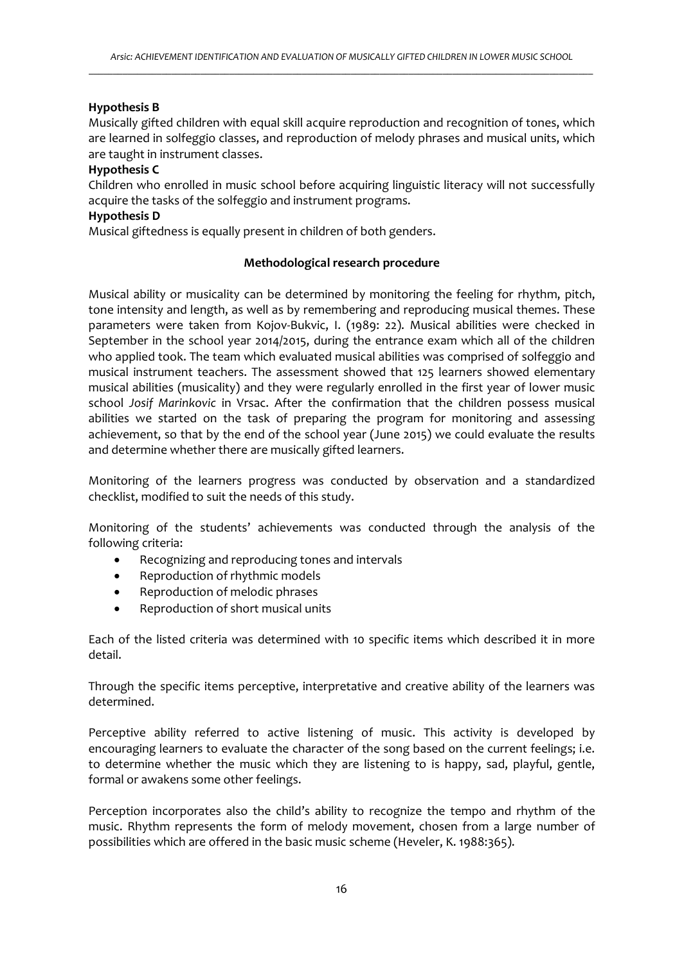# **Hypothesis B**

Musically gifted children with equal skill acquire reproduction and recognition of tones, which are learned in solfeggio classes, and reproduction of melody phrases and musical units, which are taught in instrument classes.

# **Hypothesis C**

Children who enrolled in music school before acquiring linguistic literacy will not successfully acquire the tasks of the solfeggio and instrument programs.

## **Hypothesis D**

Musical giftedness is equally present in children of both genders.

## **Methodological research procedure**

Musical ability or musicality can be determined by monitoring the feeling for rhythm, pitch, tone intensity and length, as well as by remembering and reproducing musical themes. These parameters were taken from Kojov-Bukvic, I. (1989: 22). Musical abilities were checked in September in the school year 2014/2015, during the entrance exam which all of the children who applied took. The team which evaluated musical abilities was comprised of solfeggio and musical instrument teachers. The assessment showed that 125 learners showed elementary musical abilities (musicality) and they were regularly enrolled in the first year of lower music school *Josif Marinkovic* in Vrsac. After the confirmation that the children possess musical abilities we started on the task of preparing the program for monitoring and assessing achievement, so that by the end of the school year (June 2015) we could evaluate the results and determine whether there are musically gifted learners.

Monitoring of the learners progress was conducted by observation and a standardized checklist, modified to suit the needs of this study.

Monitoring of the students' achievements was conducted through the analysis of the following criteria:

- Recognizing and reproducing tones and intervals
- Reproduction of rhythmic models
- Reproduction of melodic phrases
- Reproduction of short musical units

Each of the listed criteria was determined with 10 specific items which described it in more detail.

Through the specific items perceptive, interpretative and creative ability of the learners was determined.

Perceptive ability referred to active listening of music. This activity is developed by encouraging learners to evaluate the character of the song based on the current feelings; i.e. to determine whether the music which they are listening to is happy, sad, playful, gentle, formal or awakens some other feelings.

Perception incorporates also the child's ability to recognize the tempo and rhythm of the music. Rhythm represents the form of melody movement, chosen from a large number of possibilities which are offered in the basic music scheme (Heveler, K. 1988:365).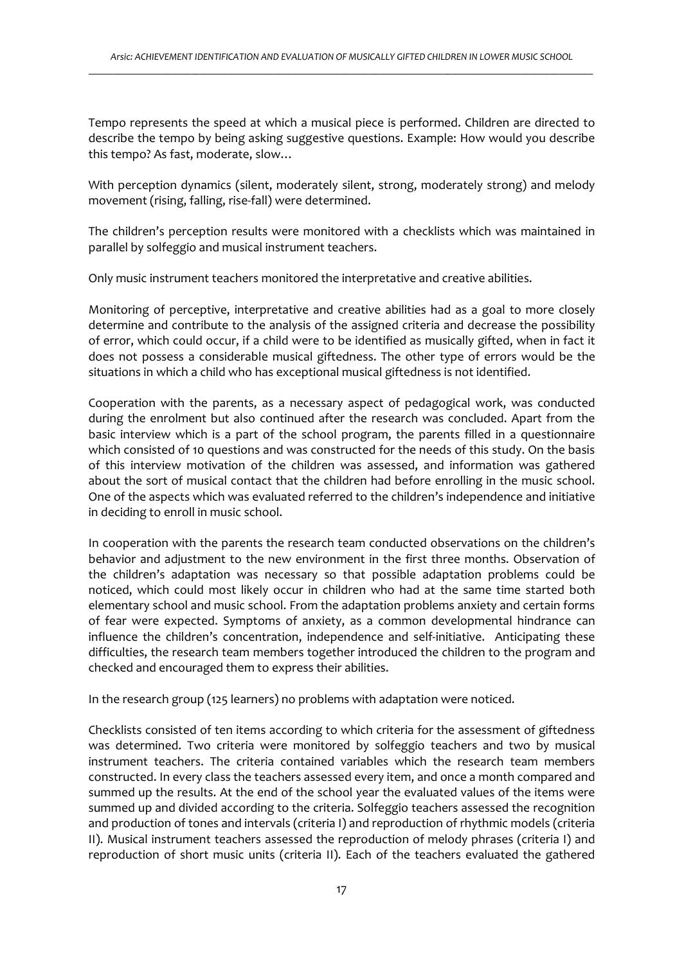Tempo represents the speed at which a musical piece is performed. Children are directed to describe the tempo by being asking suggestive questions. Example: How would you describe this tempo? As fast, moderate, slow…

With perception dynamics (silent, moderately silent, strong, moderately strong) and melody movement (rising, falling, rise-fall) were determined.

The children's perception results were monitored with a checklists which was maintained in parallel by solfeggio and musical instrument teachers.

Only music instrument teachers monitored the interpretative and creative abilities.

Monitoring of perceptive, interpretative and creative abilities had as a goal to more closely determine and contribute to the analysis of the assigned criteria and decrease the possibility of error, which could occur, if a child were to be identified as musically gifted, when in fact it does not possess a considerable musical giftedness. The other type of errors would be the situations in which a child who has exceptional musical giftedness is not identified.

Cooperation with the parents, as a necessary aspect of pedagogical work, was conducted during the enrolment but also continued after the research was concluded. Apart from the basic interview which is a part of the school program, the parents filled in a questionnaire which consisted of 10 questions and was constructed for the needs of this study. On the basis of this interview motivation of the children was assessed, and information was gathered about the sort of musical contact that the children had before enrolling in the music school. One of the aspects which was evaluated referred to the children's independence and initiative in deciding to enroll in music school.

In cooperation with the parents the research team conducted observations on the children's behavior and adjustment to the new environment in the first three months. Observation of the children's adaptation was necessary so that possible adaptation problems could be noticed, which could most likely occur in children who had at the same time started both elementary school and music school. From the adaptation problems anxiety and certain forms of fear were expected. Symptoms of anxiety, as a common developmental hindrance can influence the children's concentration, independence and self-initiative. Anticipating these difficulties, the research team members together introduced the children to the program and checked and encouraged them to express their abilities.

In the research group (125 learners) no problems with adaptation were noticed.

Checklists consisted of ten items according to which criteria for the assessment of giftedness was determined. Two criteria were monitored by solfeggio teachers and two by musical instrument teachers. The criteria contained variables which the research team members constructed. In every class the teachers assessed every item, and once a month compared and summed up the results. At the end of the school year the evaluated values of the items were summed up and divided according to the criteria. Solfeggio teachers assessed the recognition and production of tones and intervals (criteria I) and reproduction of rhythmic models (criteria II). Musical instrument teachers assessed the reproduction of melody phrases (criteria I) and reproduction of short music units (criteria II). Each of the teachers evaluated the gathered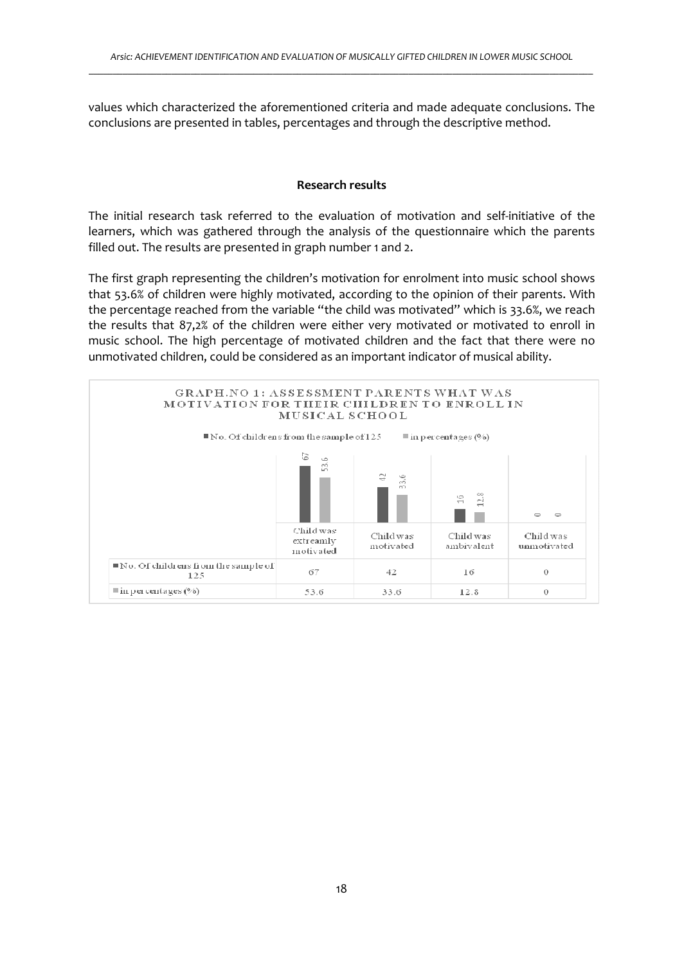values which characterized the aforementioned criteria and made adequate conclusions. The conclusions are presented in tables, percentages and through the descriptive method.

## **Research results**

The initial research task referred to the evaluation of motivation and self-initiative of the learners, which was gathered through the analysis of the questionnaire which the parents filled out. The results are presented in graph number 1 and 2.

The first graph representing the children's motivation for enrolment into music school shows that 53.6% of children were highly motivated, according to the opinion of their parents. With the percentage reached from the variable "the child was motivated" which is 33.6%, we reach the results that 87,2% of the children were either very motivated or motivated to enroll in music school. The high percentage of motivated children and the fact that there were no unmotivated children, could be considered as an important indicator of musical ability.

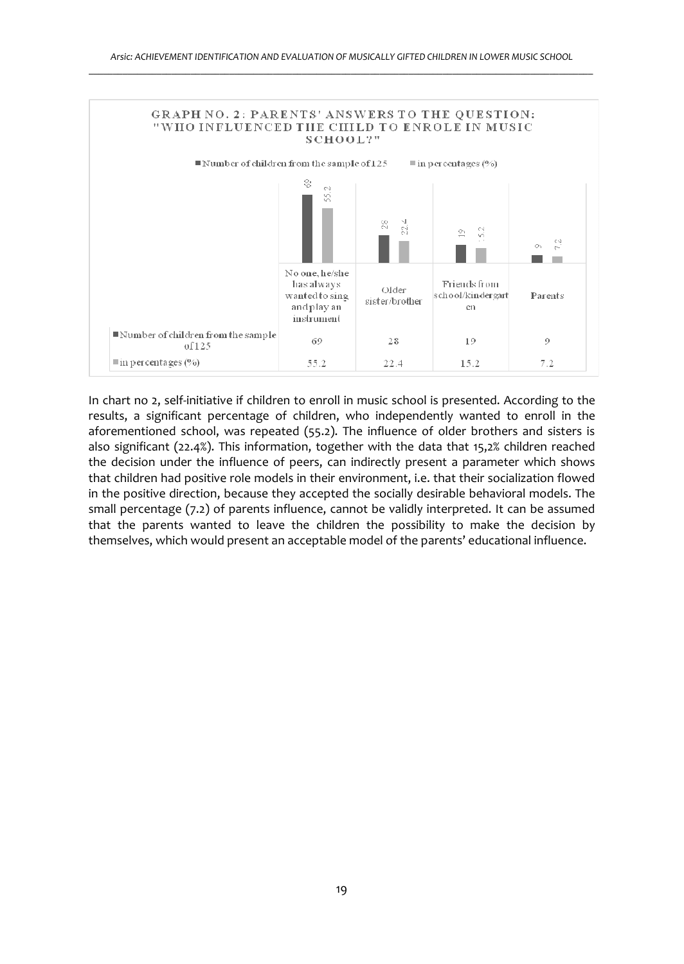

In chart no 2, self-initiative if children to enroll in music school is presented. According to the results, a significant percentage of children, who independently wanted to enroll in the aforementioned school, was repeated (55.2). The influence of older brothers and sisters is also significant (22.4%). This information, together with the data that 15,2% children reached the decision under the influence of peers, can indirectly present a parameter which shows that children had positive role models in their environment, i.e. that their socialization flowed in the positive direction, because they accepted the socially desirable behavioral models. The small percentage (7.2) of parents influence, cannot be validly interpreted. It can be assumed that the parents wanted to leave the children the possibility to make the decision by themselves, which would present an acceptable model of the parents' educational influence.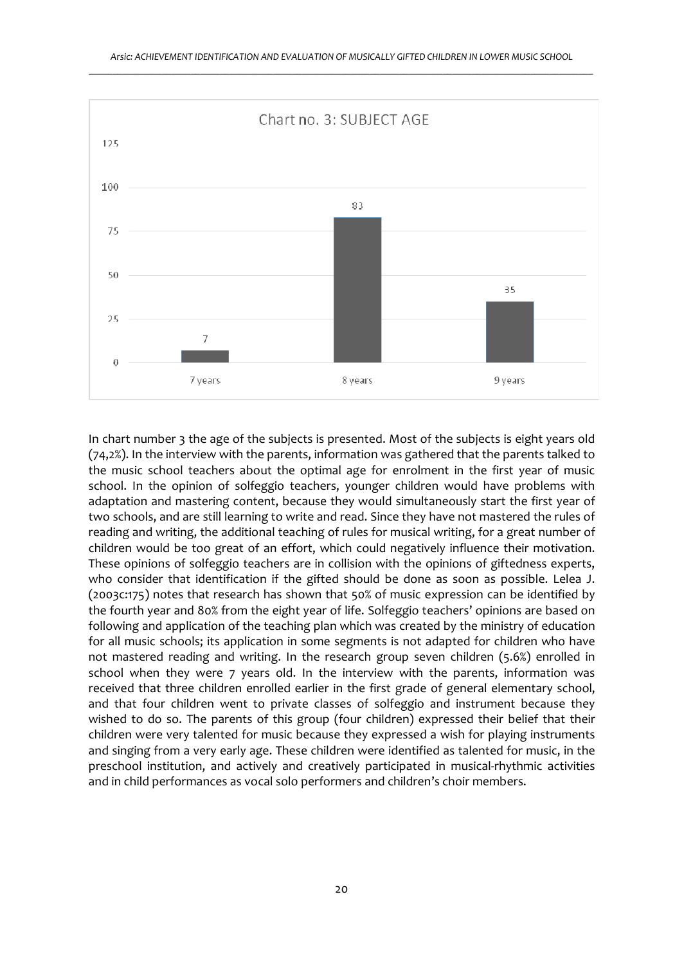

In chart number 3 the age of the subjects is presented. Most of the subjects is eight years old (74,2%). In the interview with the parents, information was gathered that the parents talked to the music school teachers about the optimal age for enrolment in the first year of music school. In the opinion of solfeggio teachers, younger children would have problems with adaptation and mastering content, because they would simultaneously start the first year of two schools, and are still learning to write and read. Since they have not mastered the rules of reading and writing, the additional teaching of rules for musical writing, for a great number of children would be too great of an effort, which could negatively influence their motivation. These opinions of solfeggio teachers are in collision with the opinions of giftedness experts, who consider that identification if the gifted should be done as soon as possible. Lelea J. (2003c:175) notes that research has shown that 50% of music expression can be identified by the fourth year and 80% from the eight year of life. Solfeggio teachers' opinions are based on following and application of the teaching plan which was created by the ministry of education for all music schools; its application in some segments is not adapted for children who have not mastered reading and writing. In the research group seven children (5.6%) enrolled in school when they were 7 years old. In the interview with the parents, information was received that three children enrolled earlier in the first grade of general elementary school, and that four children went to private classes of solfeggio and instrument because they wished to do so. The parents of this group (four children) expressed their belief that their children were very talented for music because they expressed a wish for playing instruments and singing from a very early age. These children were identified as talented for music, in the preschool institution, and actively and creatively participated in musical-rhythmic activities and in child performances as vocal solo performers and children's choir members.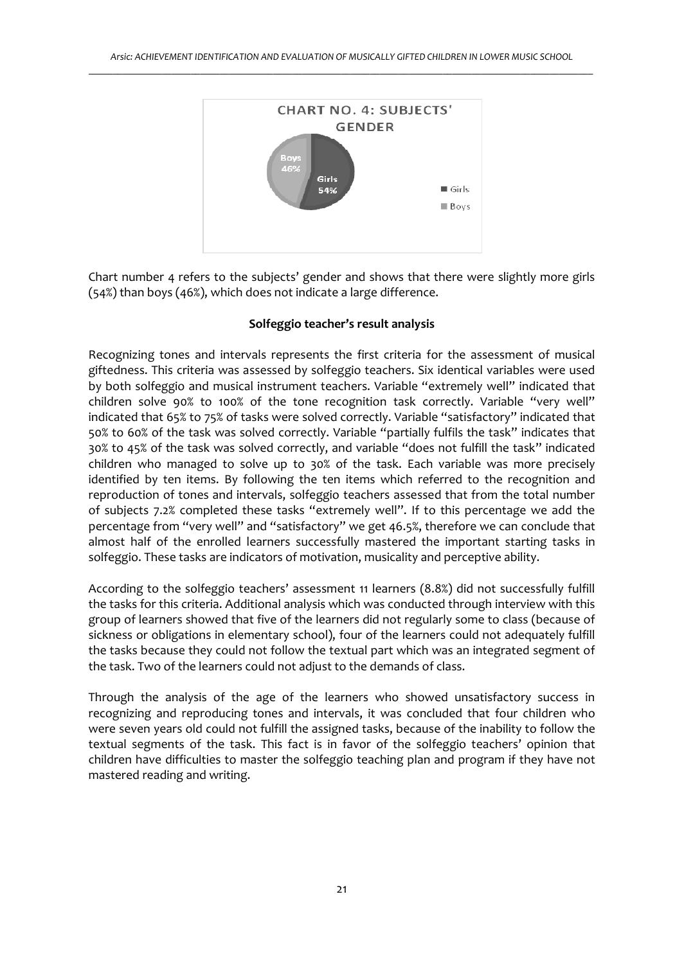

Chart number 4 refers to the subjects' gender and shows that there were slightly more girls (54%) than boys (46%), which does not indicate a large difference.

#### **Solfeggio teacher's result analysis**

Recognizing tones and intervals represents the first criteria for the assessment of musical giftedness. This criteria was assessed by solfeggio teachers. Six identical variables were used by both solfeggio and musical instrument teachers. Variable "extremely well" indicated that children solve 90% to 100% of the tone recognition task correctly. Variable "very well" indicated that 65% to 75% of tasks were solved correctly. Variable "satisfactory" indicated that 50% to 60% of the task was solved correctly. Variable "partially fulfils the task" indicates that 30% to 45% of the task was solved correctly, and variable "does not fulfill the task" indicated children who managed to solve up to 30% of the task. Each variable was more precisely identified by ten items. By following the ten items which referred to the recognition and reproduction of tones and intervals, solfeggio teachers assessed that from the total number of subjects 7.2% completed these tasks "extremely well". If to this percentage we add the percentage from "very well" and "satisfactory" we get 46.5%, therefore we can conclude that almost half of the enrolled learners successfully mastered the important starting tasks in solfeggio. These tasks are indicators of motivation, musicality and perceptive ability.

According to the solfeggio teachers' assessment 11 learners (8.8%) did not successfully fulfill the tasks for this criteria. Additional analysis which was conducted through interview with this group of learners showed that five of the learners did not regularly some to class (because of sickness or obligations in elementary school), four of the learners could not adequately fulfill the tasks because they could not follow the textual part which was an integrated segment of the task. Two of the learners could not adjust to the demands of class.

Through the analysis of the age of the learners who showed unsatisfactory success in recognizing and reproducing tones and intervals, it was concluded that four children who were seven years old could not fulfill the assigned tasks, because of the inability to follow the textual segments of the task. This fact is in favor of the solfeggio teachers' opinion that children have difficulties to master the solfeggio teaching plan and program if they have not mastered reading and writing.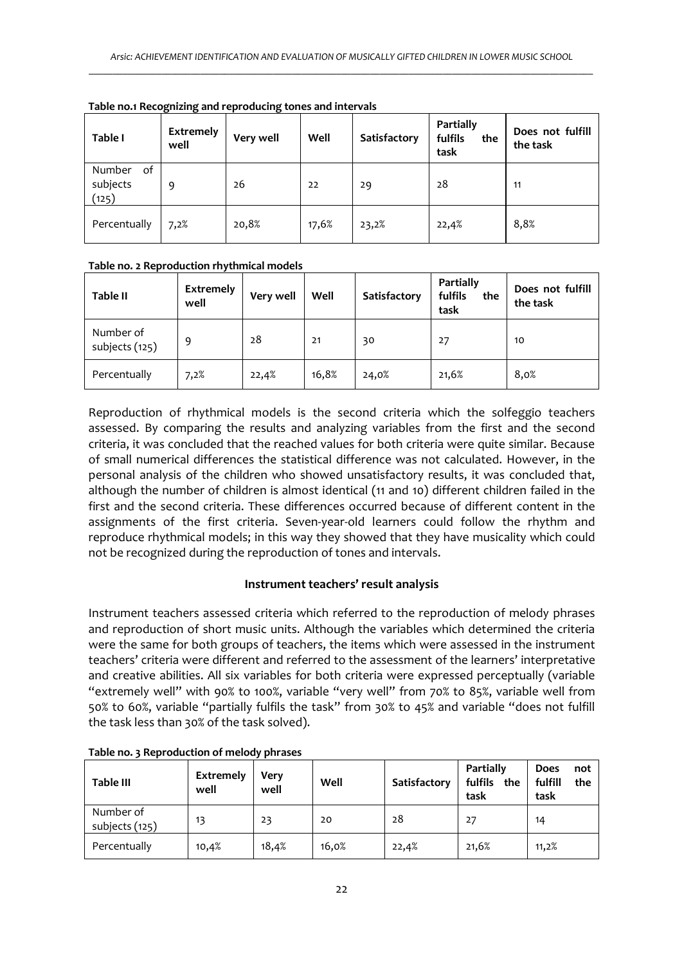| Table I                           | Extremely<br>well | Very well | Well  | Satisfactory | Partially<br>fulfils<br>the<br>task | Does not fulfill<br>the task |
|-----------------------------------|-------------------|-----------|-------|--------------|-------------------------------------|------------------------------|
| Number<br>of<br>subjects<br>(125) | 9                 | 26        | 22    | 29           | 28                                  | 11                           |
| Percentually                      | 7,2%              | 20,8%     | 17,6% | 23,2%        | 22,4%                               | 8,8%                         |

**Table no.1 Recognizing and reproducing tones and intervals** 

## **Table no. 2 Reproduction rhythmical models**

| <b>Table II</b>             | Extremely<br>well | Very well | Well  | Satisfactory | Partially<br>fulfils<br>the<br>task | Does not fulfill<br>the task |
|-----------------------------|-------------------|-----------|-------|--------------|-------------------------------------|------------------------------|
| Number of<br>subjects (125) | 9                 | 28        | 21    | 30           | 27                                  | 10                           |
| Percentually                | 7,2%              | 22,4%     | 16,8% | 24,0%        | 21,6%                               | 8,0%                         |

Reproduction of rhythmical models is the second criteria which the solfeggio teachers assessed. By comparing the results and analyzing variables from the first and the second criteria, it was concluded that the reached values for both criteria were quite similar. Because of small numerical differences the statistical difference was not calculated. However, in the personal analysis of the children who showed unsatisfactory results, it was concluded that, although the number of children is almost identical (11 and 10) different children failed in the first and the second criteria. These differences occurred because of different content in the assignments of the first criteria. Seven-year-old learners could follow the rhythm and reproduce rhythmical models; in this way they showed that they have musicality which could not be recognized during the reproduction of tones and intervals.

# **Instrument teachers' result analysis**

Instrument teachers assessed criteria which referred to the reproduction of melody phrases and reproduction of short music units. Although the variables which determined the criteria were the same for both groups of teachers, the items which were assessed in the instrument teachers' criteria were different and referred to the assessment of the learners' interpretative and creative abilities. All six variables for both criteria were expressed perceptually (variable "extremely well" with 90% to 100%, variable "very well" from 70% to 85%, variable well from 50% to 60%, variable "partially fulfils the task" from 30% to 45% and variable "does not fulfill the task less than 30% of the task solved).

| <b>Table III</b>            | Extremely<br>well | Very<br>well | Well  | Satisfactory | Partially<br>fulfils<br>the<br>task | Does<br>not<br>fulfill<br>the<br>task |
|-----------------------------|-------------------|--------------|-------|--------------|-------------------------------------|---------------------------------------|
| Number of<br>subjects (125) | 13                | 23           | 20    | 28           | 27                                  | 14                                    |
| Percentually                | 10,4%             | 18,4%        | 16,0% | 22,4%        | 21,6%                               | 11,2%                                 |

**Table no. 3 Reproduction of melody phrases**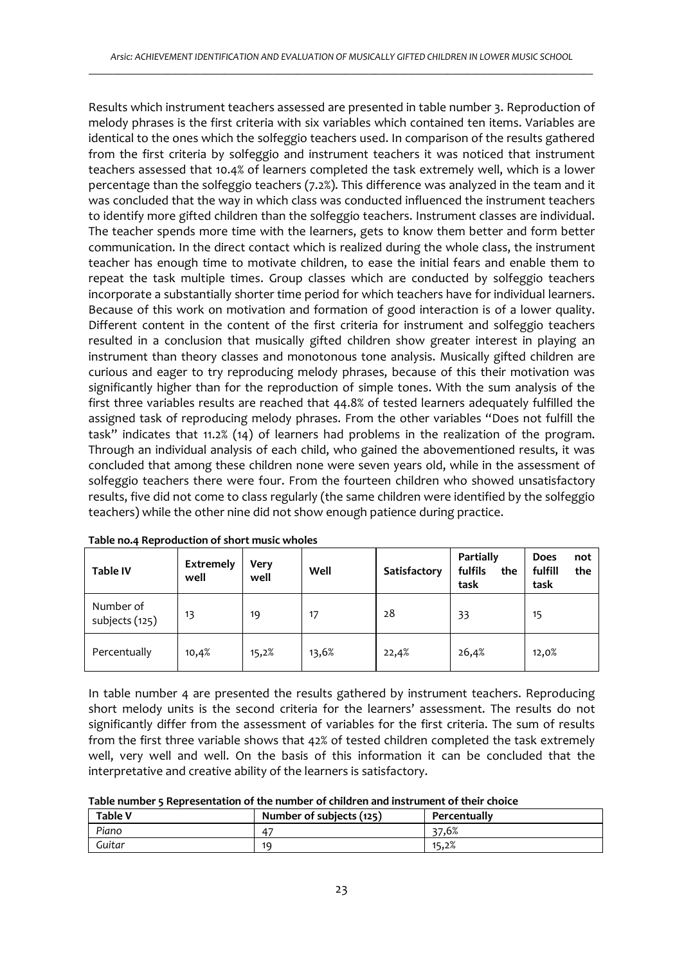Results which instrument teachers assessed are presented in table number 3. Reproduction of melody phrases is the first criteria with six variables which contained ten items. Variables are identical to the ones which the solfeggio teachers used. In comparison of the results gathered from the first criteria by solfeggio and instrument teachers it was noticed that instrument teachers assessed that 10.4% of learners completed the task extremely well, which is a lower percentage than the solfeggio teachers (7.2%). This difference was analyzed in the team and it was concluded that the way in which class was conducted influenced the instrument teachers to identify more gifted children than the solfeggio teachers. Instrument classes are individual. The teacher spends more time with the learners, gets to know them better and form better communication. In the direct contact which is realized during the whole class, the instrument teacher has enough time to motivate children, to ease the initial fears and enable them to repeat the task multiple times. Group classes which are conducted by solfeggio teachers incorporate a substantially shorter time period for which teachers have for individual learners. Because of this work on motivation and formation of good interaction is of a lower quality. Different content in the content of the first criteria for instrument and solfeggio teachers resulted in a conclusion that musically gifted children show greater interest in playing an instrument than theory classes and monotonous tone analysis. Musically gifted children are curious and eager to try reproducing melody phrases, because of this their motivation was significantly higher than for the reproduction of simple tones. With the sum analysis of the first three variables results are reached that 44.8% of tested learners adequately fulfilled the assigned task of reproducing melody phrases. From the other variables "Does not fulfill the task" indicates that 11.2% (14) of learners had problems in the realization of the program. Through an individual analysis of each child, who gained the abovementioned results, it was concluded that among these children none were seven years old, while in the assessment of solfeggio teachers there were four. From the fourteen children who showed unsatisfactory results, five did not come to class regularly (the same children were identified by the solfeggio teachers) while the other nine did not show enough patience during practice.

| <b>Table IV</b>             | Extremely<br>well | Very<br>well | Well  | Satisfactory | Partially<br>fulfils<br>the<br>task | Does<br>not<br>fulfill<br>the<br>task |
|-----------------------------|-------------------|--------------|-------|--------------|-------------------------------------|---------------------------------------|
| Number of<br>subjects (125) | 13                | 19           | 17    | 28           | 33                                  | 15                                    |
| Percentually                | 10,4%             | 15,2%        | 13,6% | 22,4%        | 26,4%                               | 12,0%                                 |

In table number 4 are presented the results gathered by instrument teachers. Reproducing short melody units is the second criteria for the learners' assessment. The results do not significantly differ from the assessment of variables for the first criteria. The sum of results from the first three variable shows that 42% of tested children completed the task extremely well, very well and well. On the basis of this information it can be concluded that the interpretative and creative ability of the learners is satisfactory.

|  | Table number 5 Representation of the number of children and instrument of their choice |  |  |  |  |
|--|----------------------------------------------------------------------------------------|--|--|--|--|
|--|----------------------------------------------------------------------------------------|--|--|--|--|

| <b>Table V</b> | Number of subjects (125) | Percentually |
|----------------|--------------------------|--------------|
| Piano          | 47                       | 37.6%        |
| Guitar         | 10                       | 15,2%        |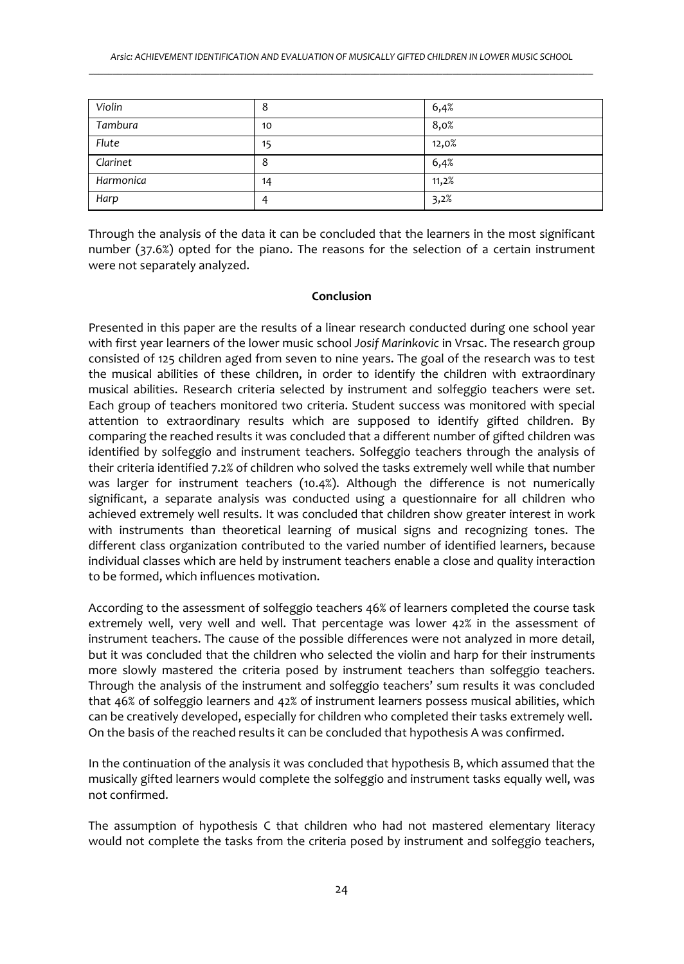| Violin    | $\circ$ | 6,4%  |
|-----------|---------|-------|
| Tambura   | 10      | 8,0%  |
| Flute     | 15      | 12,0% |
| Clarinet  | 8       | 6,4%  |
| Harmonica | 14      | 11,2% |
| Harp      |         | 3,2%  |

Through the analysis of the data it can be concluded that the learners in the most significant number (37.6%) opted for the piano. The reasons for the selection of a certain instrument were not separately analyzed.

#### **Conclusion**

Presented in this paper are the results of a linear research conducted during one school year with first year learners of the lower music school *Josif Marinkovic* in Vrsac. The research group consisted of 125 children aged from seven to nine years. The goal of the research was to test the musical abilities of these children, in order to identify the children with extraordinary musical abilities. Research criteria selected by instrument and solfeggio teachers were set. Each group of teachers monitored two criteria. Student success was monitored with special attention to extraordinary results which are supposed to identify gifted children. By comparing the reached results it was concluded that a different number of gifted children was identified by solfeggio and instrument teachers. Solfeggio teachers through the analysis of their criteria identified 7.2% of children who solved the tasks extremely well while that number was larger for instrument teachers (10.4%). Although the difference is not numerically significant, a separate analysis was conducted using a questionnaire for all children who achieved extremely well results. It was concluded that children show greater interest in work with instruments than theoretical learning of musical signs and recognizing tones. The different class organization contributed to the varied number of identified learners, because individual classes which are held by instrument teachers enable a close and quality interaction to be formed, which influences motivation.

According to the assessment of solfeggio teachers 46% of learners completed the course task extremely well, very well and well. That percentage was lower 42% in the assessment of instrument teachers. The cause of the possible differences were not analyzed in more detail, but it was concluded that the children who selected the violin and harp for their instruments more slowly mastered the criteria posed by instrument teachers than solfeggio teachers. Through the analysis of the instrument and solfeggio teachers' sum results it was concluded that 46% of solfeggio learners and 42% of instrument learners possess musical abilities, which can be creatively developed, especially for children who completed their tasks extremely well. On the basis of the reached results it can be concluded that hypothesis A was confirmed.

In the continuation of the analysis it was concluded that hypothesis B, which assumed that the musically gifted learners would complete the solfeggio and instrument tasks equally well, was not confirmed.

The assumption of hypothesis C that children who had not mastered elementary literacy would not complete the tasks from the criteria posed by instrument and solfeggio teachers,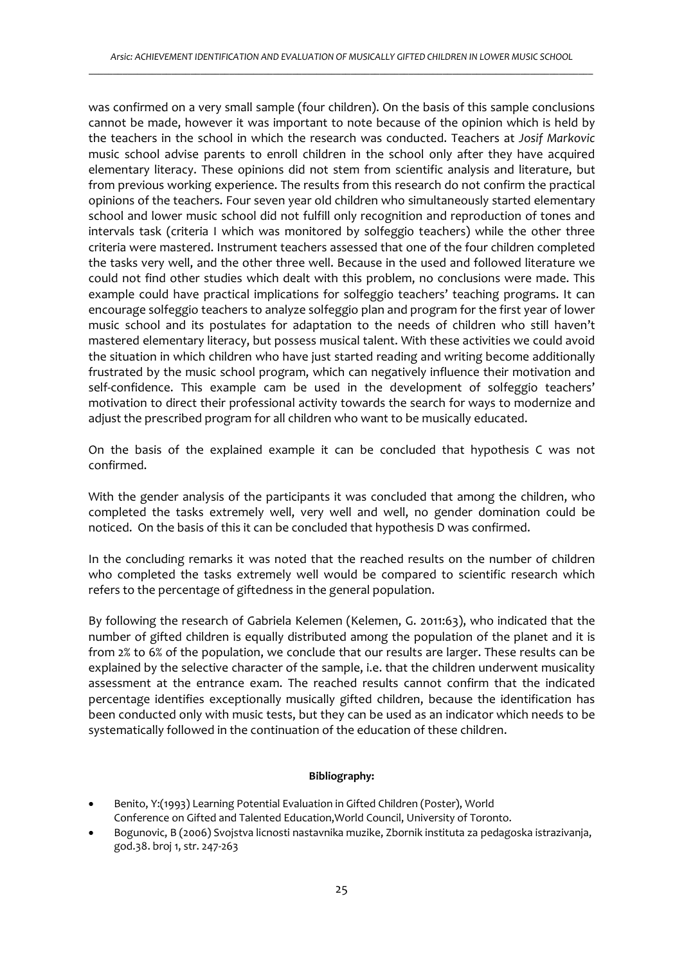was confirmed on a very small sample (four children). On the basis of this sample conclusions cannot be made, however it was important to note because of the opinion which is held by the teachers in the school in which the research was conducted. Teachers at *Josif Markovic* music school advise parents to enroll children in the school only after they have acquired elementary literacy. These opinions did not stem from scientific analysis and literature, but from previous working experience. The results from this research do not confirm the practical opinions of the teachers. Four seven year old children who simultaneously started elementary school and lower music school did not fulfill only recognition and reproduction of tones and intervals task (criteria I which was monitored by solfeggio teachers) while the other three criteria were mastered. Instrument teachers assessed that one of the four children completed the tasks very well, and the other three well. Because in the used and followed literature we could not find other studies which dealt with this problem, no conclusions were made. This example could have practical implications for solfeggio teachers' teaching programs. It can encourage solfeggio teachers to analyze solfeggio plan and program for the first year of lower music school and its postulates for adaptation to the needs of children who still haven't mastered elementary literacy, but possess musical talent. With these activities we could avoid the situation in which children who have just started reading and writing become additionally frustrated by the music school program, which can negatively influence their motivation and self-confidence. This example cam be used in the development of solfeggio teachers' motivation to direct their professional activity towards the search for ways to modernize and adjust the prescribed program for all children who want to be musically educated.

On the basis of the explained example it can be concluded that hypothesis C was not confirmed.

With the gender analysis of the participants it was concluded that among the children, who completed the tasks extremely well, very well and well, no gender domination could be noticed. On the basis of this it can be concluded that hypothesis D was confirmed.

In the concluding remarks it was noted that the reached results on the number of children who completed the tasks extremely well would be compared to scientific research which refers to the percentage of giftedness in the general population.

By following the research of Gabriela Kelemen (Kelemen, G. 2011:63), who indicated that the number of gifted children is equally distributed among the population of the planet and it is from 2% to 6% of the population, we conclude that our results are larger. These results can be explained by the selective character of the sample, i.e. that the children underwent musicality assessment at the entrance exam. The reached results cannot confirm that the indicated percentage identifies exceptionally musically gifted children, because the identification has been conducted only with music tests, but they can be used as an indicator which needs to be systematically followed in the continuation of the education of these children.

#### **Bibliography:**

- Benito, Y:(1993) Learning Potential Evaluation in Gifted Children (Poster), World Conference on Gifted and Talented Education,World Council, University of Toronto.
- Bogunovic, B (2006) Svojstva licnosti nastavnika muzike, Zbornik instituta za pedagoska istrazivanja, god.38. broj 1, str. 247-263